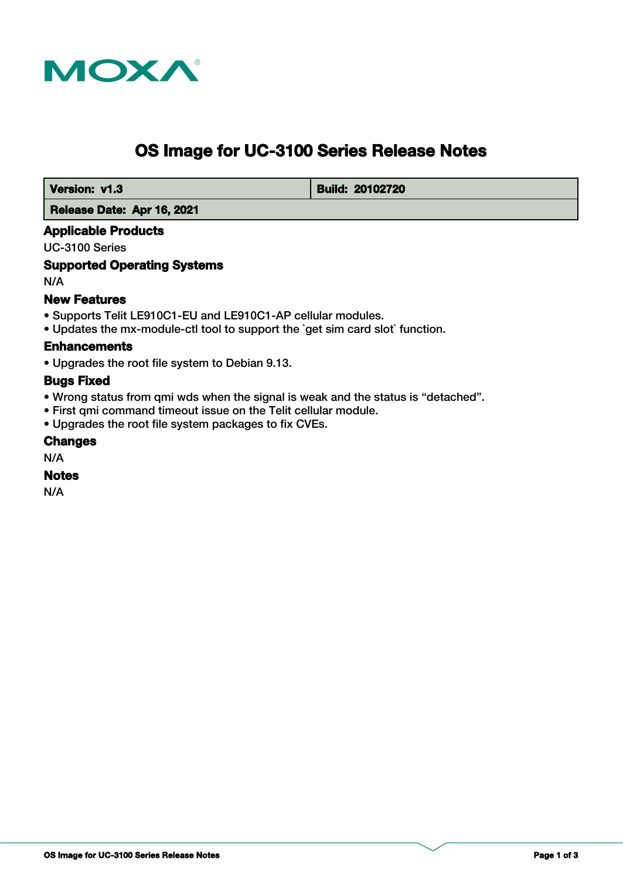

# **OS Image for UC-3100 Series Release Notes**

 **Version: v1.3 Build: 20102720** 

 **Release Date: Apr 16, 2021**

# **Applicable Products**

UC-3100 Series

# **Supported Operating Systems**

N/A

# **New Features**

- Supports Telit LE910C1-EU and LE910C1-AP cellular modules.
- Updates the mx-module-ctl tool to support the `get sim card slot` function.

#### **Enhancements**

• Upgrades the root file system to Debian 9.13.

#### **Bugs Fixed**

- Wrong status from qmi wds when the signal is weak and the status is "detached".
- First qmi command timeout issue on the Telit cellular module.
- Upgrades the root file system packages to fix CVEs.

#### **Changes**

N/A

#### **Notes**

N/A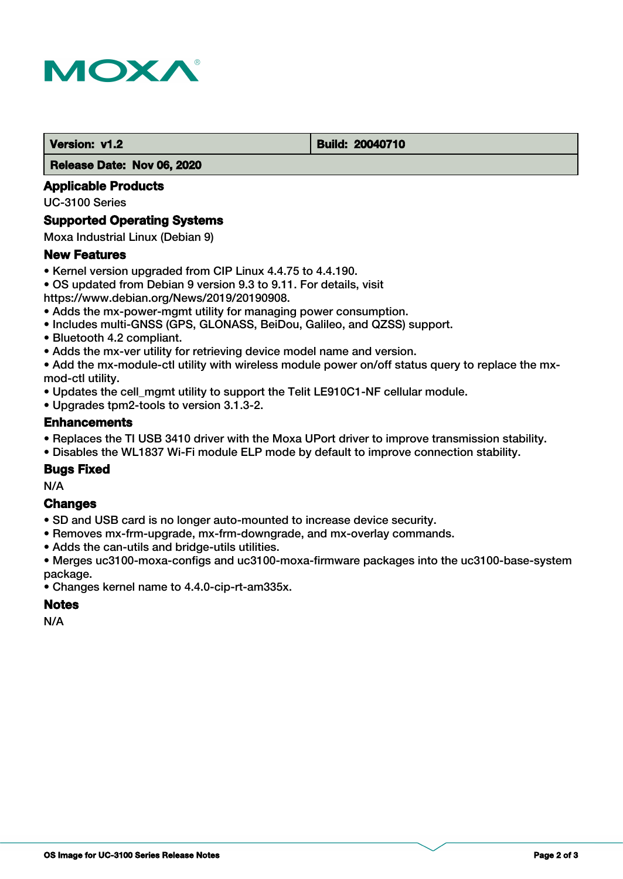

#### **Version: v1.2 Build: 20040710**

 **Release Date: Nov 06, 2020**

# **Applicable Products**

UC-3100 Series

# **Supported Operating Systems**

Moxa Industrial Linux (Debian 9)

#### **New Features**

- Kernel version upgraded from CIP Linux 4.4.75 to 4.4.190.
- OS updated from Debian 9 version 9.3 to 9.11. For details, visit

https://www.debian.org/News/2019/20190908.

- Adds the mx-power-mgmt utility for managing power consumption.
- Includes multi-GNSS (GPS, GLONASS, BeiDou, Galileo, and QZSS) support.
- Bluetooth 4.2 compliant.
- Adds the mx-ver utility for retrieving device model name and version.

• Add the mx-module-ctl utility with wireless module power on/off status query to replace the mxmod-ctl utility.

- Updates the cell mgmt utility to support the Telit LE910C1-NF cellular module.
- Upgrades tpm2-tools to version 3.1.3-2.

#### **Enhancements**

- Replaces the TI USB 3410 driver with the Moxa UPort driver to improve transmission stability.
- Disables the WL1837 Wi-Fi module ELP mode by default to improve connection stability.

# **Bugs Fixed**

N/A

# **Changes**

- SD and USB card is no longer auto-mounted to increase device security.
- Removes mx-frm-upgrade, mx-frm-downgrade, and mx-overlay commands.
- Adds the can-utils and bridge-utils utilities.
- Merges uc3100-moxa-configs and uc3100-moxa-firmware packages into the uc3100-base-system package.
- Changes kernel name to 4.4.0-cip-rt-am335x.

#### **Notes**

N/A